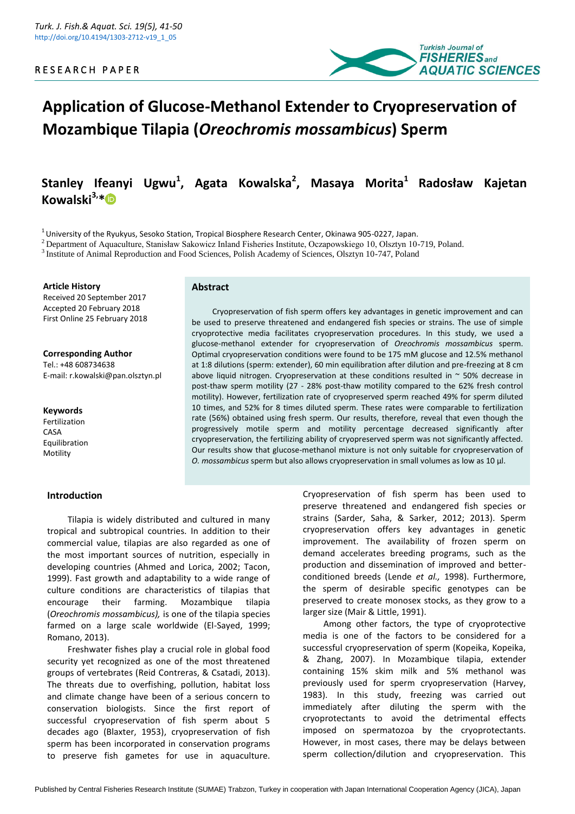

# **Application of Glucose-Methanol Extender to Cryopreservation of Mozambique Tilapia (***Oreochromis mossambicus***) Sperm**

**Stanley Ifeanyi Ugwu<sup>1</sup> , Agata Kowalska<sup>2</sup> , Masaya Morita<sup>1</sup> Radosław Kajetan Kowalski3,[\\*](https://orcid.org/0000-0002-0251-8626)**

 $<sup>1</sup>$  University of the Ryukyus, Sesoko Station, Tropical Biosphere Research Center, Okinawa 905-0227, Japan.</sup>

<sup>2</sup> Department of Aquaculture, Stanisław Sakowicz Inland Fisheries Institute, Oczapowskiego 10, Olsztyn 10-719, Poland.

<sup>3</sup> Institute of Animal Reproduction and Food Sciences, Polish Academy of Sciences, Olsztyn 10-747, Poland

#### **Article History**

Received 20 September 2017 Accepted 20 February 2018 First Online 25 February 2018

**Corresponding Author** Tel.: +48 608734638 E-mail: r.kowalski@pan.olsztyn.pl

**Keywords** Fertilization CASA Equilibration Motility

## **Introduction**

#### **Abstract**

Cryopreservation of fish sperm offers key advantages in genetic improvement and can be used to preserve threatened and endangered fish species or strains. The use of simple cryoprotective media facilitates cryopreservation procedures. In this study, we used a glucose-methanol extender for cryopreservation of *Oreochromis mossambicus* sperm. Optimal cryopreservation conditions were found to be 175 mM glucose and 12.5% methanol at 1:8 dilutions (sperm: extender), 60 min equilibration after dilution and pre-freezing at 8 cm above liquid nitrogen. Cryopreservation at these conditions resulted in  $\sim$  50% decrease in post-thaw sperm motility (27 - 28% post-thaw motility compared to the 62% fresh control motility). However, fertilization rate of cryopreserved sperm reached 49% for sperm diluted 10 times, and 52% for 8 times diluted sperm. These rates were comparable to fertilization rate (56%) obtained using fresh sperm. Our results, therefore, reveal that even though the progressively motile sperm and motility percentage decreased significantly after cryopreservation, the fertilizing ability of cryopreserved sperm was not significantly affected. Our results show that glucose-methanol mixture is not only suitable for cryopreservation of *O. mossambicus* sperm but also allows cryopreservation in small volumes as low as 10 µl.

Tilapia is widely distributed and cultured in many tropical and subtropical countries. In addition to their commercial value, tilapias are also regarded as one of the most important sources of nutrition, especially in developing countries (Ahmed and Lorica, 2002; Tacon, 1999). Fast growth and adaptability to a wide range of culture conditions are characteristics of tilapias that encourage their farming. Mozambique tilapia (*Oreochromis mossambicus),* is one of the tilapia species farmed on a large scale worldwide (El-Sayed, 1999; Romano, 2013).

Freshwater fishes play a crucial role in global food security yet recognized as one of the most threatened groups of vertebrates (Reid Contreras, & Csatadi, 2013). The threats due to overfishing, pollution, habitat loss and climate change have been of a serious concern to conservation biologists. Since the first report of successful cryopreservation of fish sperm about 5 decades ago (Blaxter, 1953), cryopreservation of fish sperm has been incorporated in conservation programs to preserve fish gametes for use in aquaculture. Cryopreservation of fish sperm has been used to preserve threatened and endangered fish species or strains (Sarder, Saha, & Sarker, 2012; 2013). Sperm cryopreservation offers key advantages in genetic improvement. The availability of frozen sperm on demand accelerates breeding programs, such as the production and dissemination of improved and betterconditioned breeds (Lende *et al.,* 1998). Furthermore, the sperm of desirable specific genotypes can be preserved to create monosex stocks, as they grow to a larger size (Mair & Little, 1991).

Among other factors, the type of cryoprotective media is one of the factors to be considered for a successful cryopreservation of sperm (Kopeika, Kopeika, & Zhang, 2007). In Mozambique tilapia, extender containing 15% skim milk and 5% methanol was previously used for sperm cryopreservation (Harvey, 1983). In this study, freezing was carried out immediately after diluting the sperm with the cryoprotectants to avoid the detrimental effects imposed on spermatozoa by the cryoprotectants. However, in most cases, there may be delays between sperm collection/dilution and cryopreservation. This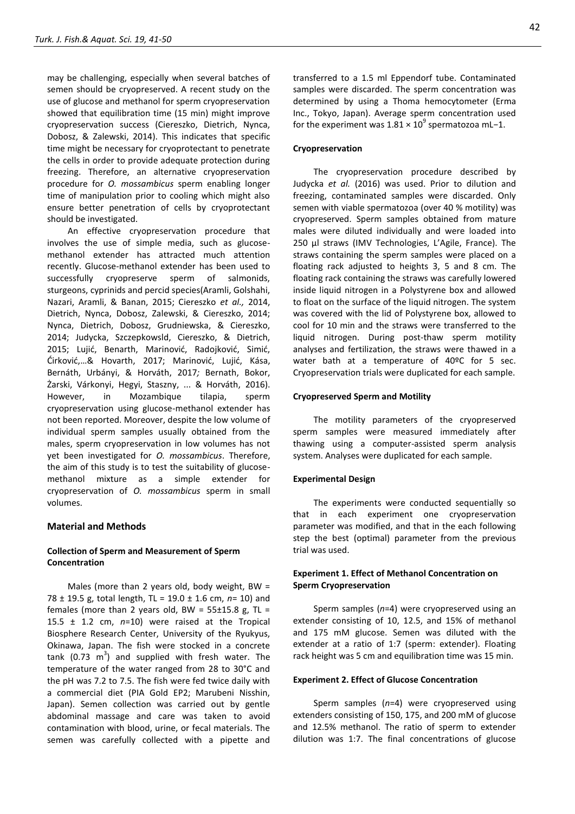may be challenging, especially when several batches of semen should be cryopreserved. A recent study on the use of glucose and methanol for sperm cryopreservation showed that equilibration time (15 min) might improve cryopreservation success (Ciereszko, Dietrich, Nynca, Dobosz, & Zalewski, 2014). This indicates that specific time might be necessary for cryoprotectant to penetrate the cells in order to provide adequate protection during freezing. Therefore, an alternative cryopreservation procedure for *O. mossambicus* sperm enabling longer time of manipulation prior to cooling which might also ensure better penetration of cells by cryoprotectant should be investigated.

An effective cryopreservation procedure that involves the use of simple media, such as glucosemethanol extender has attracted much attention recently. Glucose-methanol extender has been used to successfully cryopreserve sperm of salmonids, sturgeons, cyprinids and percid species(Aramli, Golshahi, Nazari, Aramli, & Banan, 2015; Ciereszko *et al.,* 2014, Dietrich, Nynca, Dobosz, Zalewski, & Ciereszko, 2014; Nynca, Dietrich, Dobosz, Grudniewska, & Ciereszko, 2014; Judycka, Szczepkowsld, Ciereszko, & Dietrich, 2015; Lujić, Benarth, Marinović, Radojković, Simić, Ćirković,...& Hovarth, 2017; Marinović, Lujić, Kása, Bernáth, Urbányi, & Horváth, 2017*;* Bernath, Bokor, Żarski, Várkonyi, Hegyi, Staszny, ... & Horváth, 2016). However, in Mozambique tilapia, sperm cryopreservation using glucose-methanol extender has not been reported. Moreover, despite the low volume of individual sperm samples usually obtained from the males, sperm cryopreservation in low volumes has not yet been investigated for *O. mossambicus*. Therefore, the aim of this study is to test the suitability of glucosemethanol mixture as a simple extender for cryopreservation of *O. mossambicus* sperm in small volumes.

## **Material and Methods**

## **Collection of Sperm and Measurement of Sperm Concentration**

Males (more than 2 years old, body weight, BW = 78 ± 19.5 g, total length, TL = 19.0 ± 1.6 cm, *n*= 10) and females (more than 2 years old, BW =  $55\pm15.8$  g, TL = 15.5 ± 1.2 cm, *n*=10) were raised at the Tropical Biosphere Research Center, University of the Ryukyus, Okinawa, Japan. The fish were stocked in a concrete tank (0.73  $m<sup>3</sup>$ ) and supplied with fresh water. The temperature of the water ranged from 28 to 30°C and the pH was 7.2 to 7.5. The fish were fed twice daily with a commercial diet (PIA Gold EP2; Marubeni Nisshin, Japan). Semen collection was carried out by gentle abdominal massage and care was taken to avoid contamination with blood, urine, or fecal materials. The semen was carefully collected with a pipette and

transferred to a 1.5 ml Eppendorf tube. Contaminated samples were discarded. The sperm concentration was determined by using a Thoma hemocytometer (Erma Inc., Tokyo, Japan). Average sperm concentration used for the experiment was  $1.81 \times 10^9$  spermatozoa mL-1.

#### **Cryopreservation**

The cryopreservation procedure described by Judycka *et al.* (2016) was used. Prior to dilution and freezing, contaminated samples were discarded. Only semen with viable spermatozoa (over 40 % motility) was cryopreserved. Sperm samples obtained from mature males were diluted individually and were loaded into 250 µl straws (IMV Technologies, L'Agile, France). The straws containing the sperm samples were placed on a floating rack adjusted to heights 3, 5 and 8 cm. The floating rack containing the straws was carefully lowered inside liquid nitrogen in a Polystyrene box and allowed to float on the surface of the liquid nitrogen. The system was covered with the lid of Polystyrene box, allowed to cool for 10 min and the straws were transferred to the liquid nitrogen. During post-thaw sperm motility analyses and fertilization, the straws were thawed in a water bath at a temperature of 40ºC for 5 sec. Cryopreservation trials were duplicated for each sample.

#### **Cryopreserved Sperm and Motility**

The motility parameters of the cryopreserved sperm samples were measured immediately after thawing using a computer-assisted sperm analysis system. Analyses were duplicated for each sample.

#### **Experimental Design**

The experiments were conducted sequentially so that in each experiment one cryopreservation parameter was modified, and that in the each following step the best (optimal) parameter from the previous trial was used.

## **Experiment 1. Effect of Methanol Concentration on Sperm Cryopreservation**

Sperm samples (*n*=4) were cryopreserved using an extender consisting of 10, 12.5, and 15% of methanol and 175 mM glucose. Semen was diluted with the extender at a ratio of 1:7 (sperm: extender). Floating rack height was 5 cm and equilibration time was 15 min.

#### **Experiment 2. Effect of Glucose Concentration**

Sperm samples (*n*=4) were cryopreserved using extenders consisting of 150, 175, and 200 mM of glucose and 12.5% methanol. The ratio of sperm to extender dilution was 1:7. The final concentrations of glucose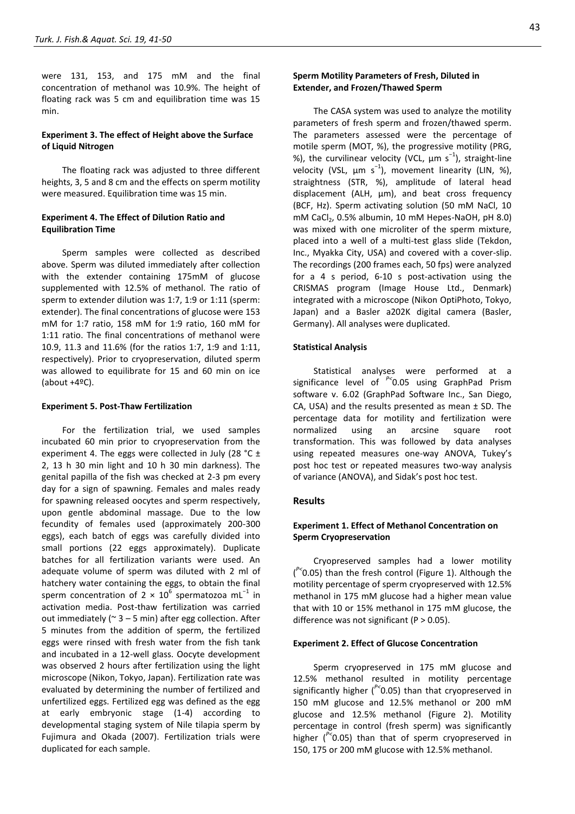were 131, 153, and 175 mM and the final concentration of methanol was 10.9%. The height of floating rack was 5 cm and equilibration time was 15 min.

# **Experiment 3. The effect of Height above the Surface of Liquid Nitrogen**

The floating rack was adjusted to three different heights, 3, 5 and 8 cm and the effects on sperm motility were measured. Equilibration time was 15 min.

# **Experiment 4. The Effect of Dilution Ratio and Equilibration Time**

Sperm samples were collected as described above. Sperm was diluted immediately after collection with the extender containing 175mM of glucose supplemented with 12.5% of methanol. The ratio of sperm to extender dilution was 1:7, 1:9 or 1:11 (sperm: extender). The final concentrations of glucose were 153 mM for 1:7 ratio, 158 mM for 1:9 ratio, 160 mM for 1:11 ratio. The final concentrations of methanol were 10.9, 11.3 and 11.6% (for the ratios 1:7, 1:9 and 1:11, respectively). Prior to cryopreservation, diluted sperm was allowed to equilibrate for 15 and 60 min on ice (about  $+4^{\circ}$ C).

## **Experiment 5. Post-Thaw Fertilization**

For the fertilization trial, we used samples incubated 60 min prior to cryopreservation from the experiment 4. The eggs were collected in July (28  $^{\circ}$ C ± 2, 13 h 30 min light and 10 h 30 min darkness). The genital papilla of the fish was checked at 2-3 pm every day for a sign of spawning. Females and males ready for spawning released oocytes and sperm respectively, upon gentle abdominal massage. Due to the low fecundity of females used (approximately 200-300 eggs), each batch of eggs was carefully divided into small portions (22 eggs approximately). Duplicate batches for all fertilization variants were used. An adequate volume of sperm was diluted with 2 ml of hatchery water containing the eggs, to obtain the final sperm concentration of 2  $\times$  10<sup>6</sup> spermatozoa mL<sup>-1</sup> in activation media. Post-thaw fertilization was carried out immediately ( $\approx$  3 – 5 min) after egg collection. After 5 minutes from the addition of sperm, the fertilized eggs were rinsed with fresh water from the fish tank and incubated in a 12-well glass. Oocyte development was observed 2 hours after fertilization using the light microscope (Nikon, Tokyo, Japan). Fertilization rate was evaluated by determining the number of fertilized and unfertilized eggs. Fertilized egg was defined as the egg at early embryonic stage (1-4) according to developmental staging system of Nile tilapia sperm by Fujimura and Okada (2007). Fertilization trials were duplicated for each sample.

# **Sperm Motility Parameters of Fresh, Diluted in Extender, and Frozen/Thawed Sperm**

The CASA system was used to analyze the motility parameters of fresh sperm and frozen/thawed sperm. The parameters assessed were the percentage of motile sperm (MOT, %), the progressive motility (PRG, %), the curvilinear velocity (VCL,  $\mu$ m s<sup>-1</sup>), straight-line velocity (VSL,  $\mu$ m s<sup>-1</sup>), movement linearity (LIN, %), straightness (STR, %), amplitude of lateral head displacement (ALH, µm), and beat cross frequency (BCF, Hz). Sperm activating solution (50 mM NaCl, 10 mM CaCl<sub>2</sub>, 0.5% albumin, 10 mM Hepes-NaOH, pH 8.0) was mixed with one microliter of the sperm mixture, placed into a well of a multi-test glass slide (Tekdon, Inc., Myakka City, USA) and covered with a cover-slip. The recordings (200 frames each, 50 fps) were analyzed for a 4 s period, 6-10 s post-activation using the CRISMAS program (Image House Ltd., Denmark) integrated with a microscope (Nikon OptiPhoto, Tokyo, Japan) and a Basler a202K digital camera (Basler, Germany). All analyses were duplicated.

#### **Statistical Analysis**

Statistical analyses were performed at a significance level of *P<*0.05 using GraphPad Prism software v. 6.02 (GraphPad Software Inc., San Diego, CA, USA) and the results presented as mean  $\pm$  SD. The percentage data for motility and fertilization were normalized using an arcsine square root transformation. This was followed by data analyses using repeated measures one-way ANOVA, Tukey's post hoc test or repeated measures two-way analysis of variance (ANOVA), and Sidak's post hoc test.

## **Results**

# **Experiment 1. Effect of Methanol Concentration on Sperm Cryopreservation**

Cryopreserved samples had a lower motility ( *P<*0.05) than the fresh control (Figure 1). Although the motility percentage of sperm cryopreserved with 12.5% methanol in 175 mM glucose had a higher mean value that with 10 or 15% methanol in 175 mM glucose, the difference was not significant ( $P > 0.05$ ).

## **Experiment 2. Effect of Glucose Concentration**

Sperm cryopreserved in 175 mM glucose and 12.5% methanol resulted in motility percentage significantly higher (*P<*0.05) than that cryopreserved in 150 mM glucose and 12.5% methanol or 200 mM glucose and 12.5% methanol (Figure 2). Motility percentage in control (fresh sperm) was significantly higher (*P<*0.05) than that of sperm cryopreserved in 150, 175 or 200 mM glucose with 12.5% methanol.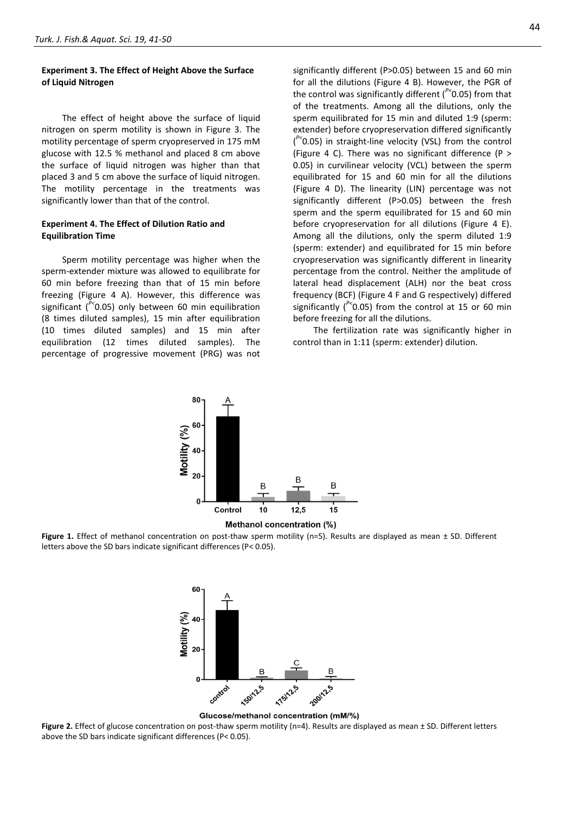# **Experiment 3. The Effect of Height Above the Surface of Liquid Nitrogen**

The effect of height above the surface of liquid nitrogen on sperm motility is shown in Figure 3. The motility percentage of sperm cryopreserved in 175 mM glucose with 12.5 % methanol and placed 8 cm above the surface of liquid nitrogen was higher than that placed 3 and 5 cm above the surface of liquid nitrogen. The motility percentage in the treatments was significantly lower than that of the control.

# **Experiment 4. The Effect of Dilution Ratio and Equilibration Time**

Sperm motility percentage was higher when the sperm-extender mixture was allowed to equilibrate for 60 min before freezing than that of 15 min before freezing (Figure 4 A). However, this difference was significant (*P<*0.05) only between 60 min equilibration (8 times diluted samples), 15 min after equilibration (10 times diluted samples) and 15 min after equilibration (12 times diluted samples). The percentage of progressive movement (PRG) was not

significantly different (P>0.05) between 15 and 60 min for all the dilutions (Figure 4 B). However, the PGR of the control was significantly different (*P<*0.05) from that of the treatments. Among all the dilutions, only the sperm equilibrated for 15 min and diluted 1:9 (sperm: extender) before cryopreservation differed significantly ( *P<*0.05) in straight-line velocity (VSL) from the control (Figure 4 C). There was no significant difference (P > 0.05) in curvilinear velocity (VCL) between the sperm equilibrated for 15 and 60 min for all the dilutions (Figure 4 D). The linearity (LIN) percentage was not significantly different (P>0.05) between the fresh sperm and the sperm equilibrated for 15 and 60 min before cryopreservation for all dilutions (Figure 4 E). Among all the dilutions, only the sperm diluted 1:9 (sperm: extender) and equilibrated for 15 min before cryopreservation was significantly different in linearity percentage from the control. Neither the amplitude of lateral head displacement (ALH) nor the beat cross frequency (BCF) (Figure 4 F and G respectively) differed significantly (*P<*0.05) from the control at 15 or 60 min before freezing for all the dilutions.

The fertilization rate was significantly higher in control than in 1:11 (sperm: extender) dilution.





Figure 1. Effect of methanol concentration on post-thaw sperm motility (n=5). Results are displayed as mean ± SD. Different letters above the SD bars indicate significant differences (P< 0.05).



#### Glucose/methanol concentration (mM/%)

**Figure 2.** Effect of glucose concentration on post-thaw sperm motility (n=4). Results are displayed as mean ± SD. Different letters above the SD bars indicate significant differences (P< 0.05).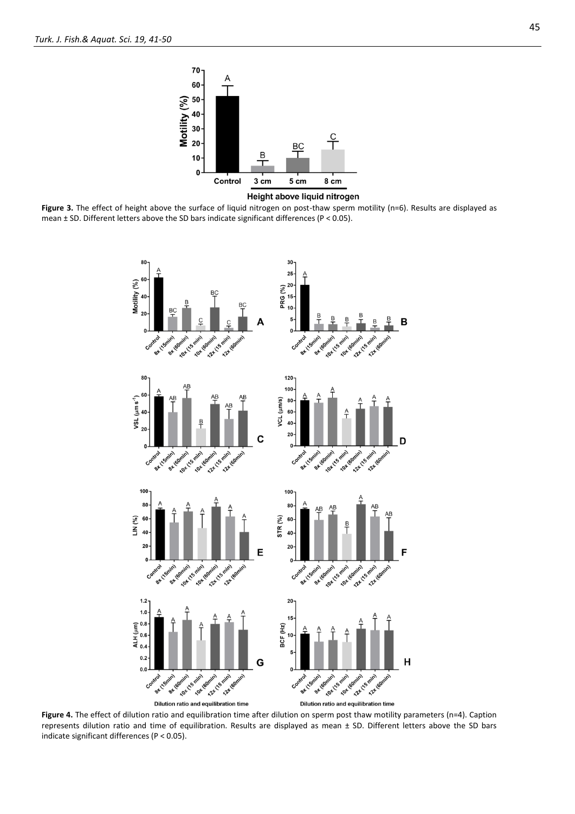

**Figure 3.** The effect of height above the surface of liquid nitrogen on post-thaw sperm motility (n=6). Results are displayed as mean ± SD. Different letters above the SD bars indicate significant differences (P < 0.05).



**Figure 4.** The effect of dilution ratio and equilibration time after dilution on sperm post thaw motility parameters (n=4). Caption represents dilution ratio and time of equilibration. Results are displayed as mean ± SD. Different letters above the SD bars indicate significant differences (P < 0.05).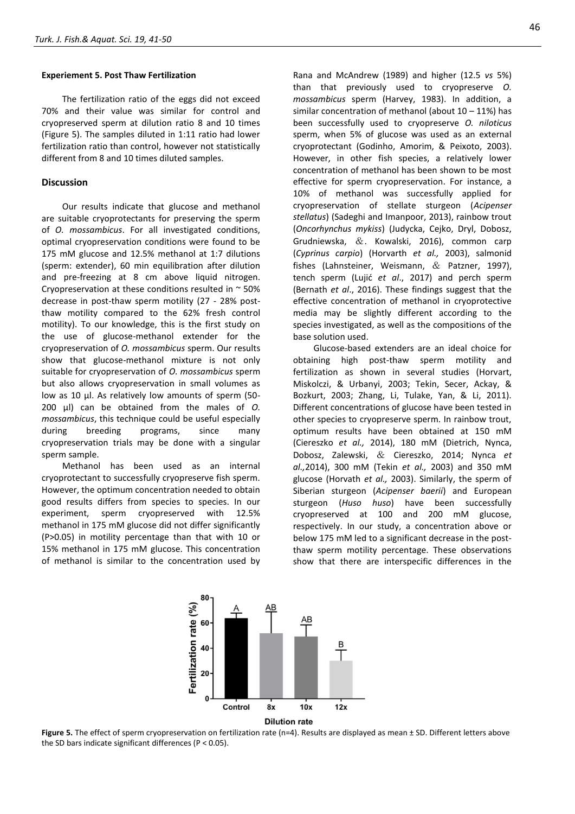#### **Experiement 5. Post Thaw Fertilization**

The fertilization ratio of the eggs did not exceed 70% and their value was similar for control and cryopreserved sperm at dilution ratio 8 and 10 times (Figure 5). The samples diluted in 1:11 ratio had lower fertilization ratio than control, however not statistically different from 8 and 10 times diluted samples.

## **Discussion**

Our results indicate that glucose and methanol are suitable cryoprotectants for preserving the sperm of *O. mossambicus*. For all investigated conditions, optimal cryopreservation conditions were found to be 175 mM glucose and 12.5% methanol at 1:7 dilutions (sperm: extender), 60 min equilibration after dilution and pre-freezing at 8 cm above liquid nitrogen. Cryopreservation at these conditions resulted in  $\sim$  50% decrease in post-thaw sperm motility (27 - 28% postthaw motility compared to the 62% fresh control motility). To our knowledge, this is the first study on the use of glucose-methanol extender for the cryopreservation of *O. mossambicus* sperm. Our results show that glucose-methanol mixture is not only suitable for cryopreservation of *O. mossambicus* sperm but also allows cryopreservation in small volumes as low as 10 µl. As relatively low amounts of sperm (50-200 µl) can be obtained from the males of *O. mossambicus*, this technique could be useful especially during breeding programs, since many cryopreservation trials may be done with a singular sperm sample.

Methanol has been used as an internal cryoprotectant to successfully cryopreserve fish sperm. However, the optimum concentration needed to obtain good results differs from species to species. In our experiment, sperm cryopreserved with 12.5% methanol in 175 mM glucose did not differ significantly (P>0.05) in motility percentage than that with 10 or 15% methanol in 175 mM glucose. This concentration of methanol is similar to the concentration used by Rana and McAndrew (1989) and higher (12.5 *vs* 5%) than that previously used to cryopreserve *O. mossambicus* sperm (Harvey, 1983). In addition, a similar concentration of methanol (about  $10 - 11\%$ ) has been successfully used to cryopreserve *O. niloticus* sperm, when 5% of glucose was used as an external cryoprotectant (Godinho, Amorim, & Peixoto, 2003). However, in other fish species, a relatively lower concentration of methanol has been shown to be most effective for sperm cryopreservation. For instance, a 10% of methanol was successfully applied for cryopreservation of stellate sturgeon (*Acipenser stellatus*) (Sadeghi and Imanpoor, 2013), rainbow trout (*Oncorhynchus mykiss*) (Judycka, Cejko, Dryl, Dobosz, Grudniewska, &. Kowalski, 2016), common carp (*Cyprinus carpio*) (Horvarth *et al.,* 2003), salmonid fishes (Lahnsteiner, Weismann, & Patzner, 1997), tench sperm (Lujić et al., 2017) and perch sperm (Bernath *et al*., 2016). These findings suggest that the effective concentration of methanol in cryoprotective media may be slightly different according to the species investigated, as well as the compositions of the base solution used.

Glucose-based extenders are an ideal choice for obtaining high post-thaw sperm motility and fertilization as shown in several studies (Horvart, Miskolczi, & Urbanyi, 2003; Tekin, Secer, Ackay, & Bozkurt, 2003; Zhang, Li, Tulake, Yan, & Li, 2011). Different concentrations of glucose have been tested in other species to cryopreserve sperm. In rainbow trout, optimum results have been obtained at 150 mM (Ciereszko *et al.,* 2014), 180 mM (Dietrich, Nynca, Dobosz, Zalewski, & Ciereszko, 2014; Nynca *et al.,*2014), 300 mM (Tekin *et al.,* 2003) and 350 mM glucose (Horvath *et al.,* 2003). Similarly, the sperm of Siberian sturgeon (*Acipenser baerii*) and European sturgeon (*Huso huso*) have been successfully cryopreserved at 100 and 200 mM glucose, respectively. In our study, a concentration above or below 175 mM led to a significant decrease in the postthaw sperm motility percentage. These observations show that there are interspecific differences in the



Figure 5. The effect of sperm cryopreservation on fertilization rate (n=4). Results are displayed as mean ± SD. Different letters above the SD bars indicate significant differences (P < 0.05).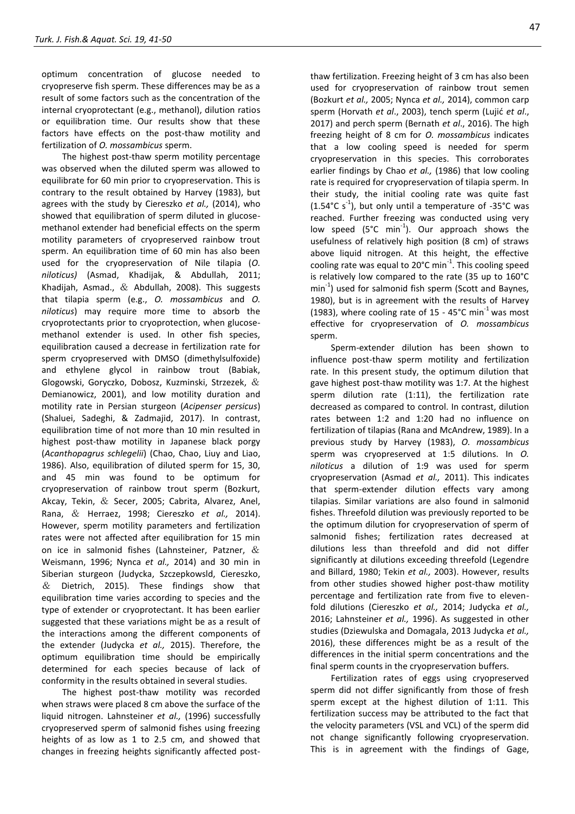optimum concentration of glucose needed to cryopreserve fish sperm. These differences may be as a result of some factors such as the concentration of the internal cryoprotectant (e.g., methanol), dilution ratios or equilibration time. Our results show that these factors have effects on the post-thaw motility and fertilization of *O. mossambicus* sperm.

The highest post-thaw sperm motility percentage was observed when the diluted sperm was allowed to equilibrate for 60 min prior to cryopreservation. This is contrary to the result obtained by Harvey (1983), but agrees with the study by Ciereszko *et al.,* (2014), who showed that equilibration of sperm diluted in glucosemethanol extender had beneficial effects on the sperm motility parameters of cryopreserved rainbow trout sperm. An equilibration time of 60 min has also been used for the cryopreservation of Nile tilapia (*O. niloticus)* (Asmad, Khadijak, & Abdullah, 2011; Khadijah, Asmad.,  $\&$  Abdullah, 2008). This suggests that tilapia sperm (e.g., *O. mossambicus* and *O. niloticus*) may require more time to absorb the cryoprotectants prior to cryoprotection, when glucosemethanol extender is used. In other fish species, equilibration caused a decrease in fertilization rate for sperm cryopreserved with DMSO (dimethylsulfoxide) and ethylene glycol in rainbow trout (Babiak, Glogowski, Goryczko, Dobosz, Kuzminski, Strzezek, & Demianowicz, 2001), and low motility duration and motility rate in Persian sturgeon (*Acipenser persicus*) (Shaluei, Sadeghi, & Zadmajid, 2017). In contrast, equilibration time of not more than 10 min resulted in highest post-thaw motility in Japanese black porgy (*Acanthopagrus schlegelii*) (Chao, Chao, Liuy and Liao, 1986). Also, equilibration of diluted sperm for 15, 30, and 45 min was found to be optimum for cryopreservation of rainbow trout sperm (Bozkurt, Akcay, Tekin, & Secer, 2005; Cabrita, Alvarez, Anel, Rana, & Herraez, 1998; Ciereszko *et al.,* 2014). However, sperm motility parameters and fertilization rates were not affected after equilibration for 15 min on ice in salmonid fishes (Lahnsteiner, Patzner,  $\&$ Weismann, 1996; Nynca *et al.,* 2014) and 30 min in Siberian sturgeon (Judycka, Szczepkowsld, Ciereszko,  $&$  Dietrich, 2015). These findings show that equilibration time varies according to species and the type of extender or cryoprotectant. It has been earlier suggested that these variations might be as a result of the interactions among the different components of the extender (Judycka *et al.,* 2015). Therefore, the optimum equilibration time should be empirically determined for each species because of lack of conformity in the results obtained in several studies.

The highest post-thaw motility was recorded when straws were placed 8 cm above the surface of the liquid nitrogen. Lahnsteiner *et al.,* (1996) successfully cryopreserved sperm of salmonid fishes using freezing heights of as low as 1 to 2.5 cm, and showed that changes in freezing heights significantly affected postthaw fertilization. Freezing height of 3 cm has also been used for cryopreservation of rainbow trout semen (Bozkurt *et al.,* 2005; Nynca *et al.,* 2014), common carp sperm (Horvath *et al.*, 2003), tench sperm (Lujić *et al.*, 2017) and perch sperm (Bernath *et al*., 2016). The high freezing height of 8 cm for *O. mossambicus* indicates that a low cooling speed is needed for sperm cryopreservation in this species. This corroborates earlier findings by Chao *et al.,* (1986) that low cooling rate is required for cryopreservation of tilapia sperm. In their study, the initial cooling rate was quite fast (1.54 $^{\circ}$ C s<sup>-1</sup>), but only until a temperature of -35 $^{\circ}$ C was reached. Further freezing was conducted using very low speed  $(5^{\circ}C \text{ min}^{-1})$ . Our approach shows the usefulness of relatively high position (8 cm) of straws above liquid nitrogen. At this height, the effective cooling rate was equal to 20 $^{\circ}$ C min $^{\text{-1}}$ . This cooling speed is relatively low compared to the rate (35 up to 160°C min<sup>-1</sup>) used for salmonid fish sperm (Scott and Baynes, 1980), but is in agreement with the results of Harvey (1983), where cooling rate of 15 - 45°C min<sup>-1</sup> was most effective for cryopreservation of *O. mossambicus*  sperm

Sperm-extender dilution has been shown to influence post-thaw sperm motility and fertilization rate. In this present study, the optimum dilution that gave highest post-thaw motility was 1:7. At the highest sperm dilution rate (1:11), the fertilization rate decreased as compared to control. In contrast, dilution rates between 1:2 and 1:20 had no influence on fertilization of tilapias (Rana and McAndrew, 1989). In a previous study by Harvey (1983), *O. mossambicus*  sperm was cryopreserved at 1:5 dilutions. In *O. niloticus* a dilution of 1:9 was used for sperm cryopreservation (Asmad *et al.,* 2011). This indicates that sperm-extender dilution effects vary among tilapias. Similar variations are also found in salmonid fishes. Threefold dilution was previously reported to be the optimum dilution for cryopreservation of sperm of salmonid fishes; fertilization rates decreased at dilutions less than threefold and did not differ significantly at dilutions exceeding threefold (Legendre and Billard, 1980; Tekin *et al.,* 2003). However, results from other studies showed higher post-thaw motility percentage and fertilization rate from five to elevenfold dilutions (Ciereszko *et al.,* 2014; Judycka *et al.,*  2016; Lahnsteiner *et al.,* 1996). As suggested in other studies (Dziewulska and Domagala, 2013 Judycka *et al.,*  2016), these differences might be as a result of the differences in the initial sperm concentrations and the final sperm counts in the cryopreservation buffers.

Fertilization rates of eggs using cryopreserved sperm did not differ significantly from those of fresh sperm except at the highest dilution of 1:11. This fertilization success may be attributed to the fact that the velocity parameters (VSL and VCL) of the sperm did not change significantly following cryopreservation. This is in agreement with the findings of Gage,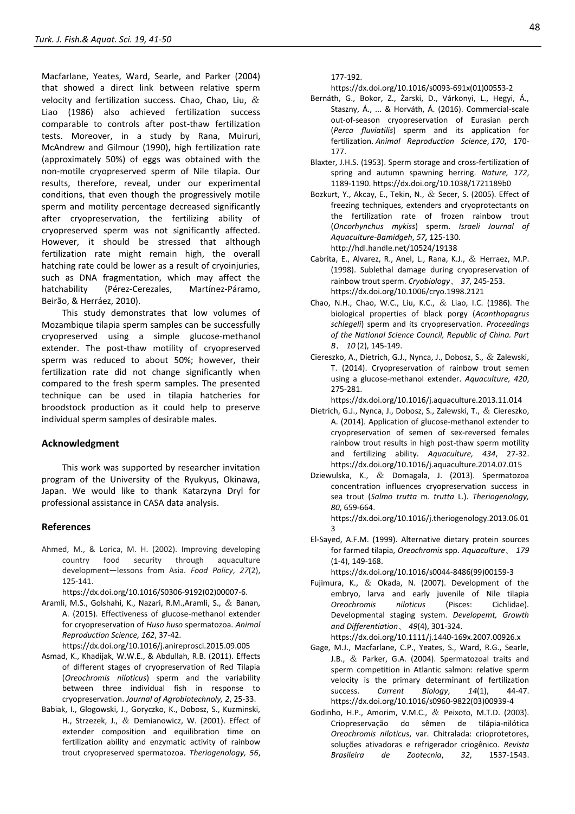Macfarlane, Yeates, Ward, Searle, and Parker (2004) that showed a direct link between relative sperm velocity and fertilization success. Chao, Chao, Liu,  $\&$ Liao (1986) also achieved fertilization success comparable to controls after post-thaw fertilization tests. Moreover, in a study by Rana, Muiruri, McAndrew and Gilmour (1990), high fertilization rate (approximately 50%) of eggs was obtained with the non-motile cryopreserved sperm of Nile tilapia. Our results, therefore, reveal, under our experimental conditions, that even though the progressively motile sperm and motility percentage decreased significantly after cryopreservation, the fertilizing ability of cryopreserved sperm was not significantly affected. However, it should be stressed that although fertilization rate might remain high, the overall hatching rate could be lower as a result of cryoinjuries, such as DNA fragmentation, which may affect the hatchability (Pérez-Cerezales, Martínez-Páramo, Beirão, & Herráez, 2010).

This study demonstrates that low volumes of Mozambique tilapia sperm samples can be successfully cryopreserved using a simple glucose-methanol extender. The post-thaw motility of cryopreserved sperm was reduced to about 50%; however, their fertilization rate did not change significantly when compared to the fresh sperm samples. The presented technique can be used in tilapia hatcheries for broodstock production as it could help to preserve individual sperm samples of desirable males.

## **Acknowledgment**

This work was supported by researcher invitation program of the University of the Ryukyus, Okinawa, Japan. We would like to thank Katarzyna Dryl for professional assistance in CASA data analysis.

## **References**

Ahmed, M., & Lorica, M. H. (2002). Improving developing country food security through aquaculture development—lessons from Asia. *Food Policy*, *27*(2), 125-141.

https://dx.doi.org/10.1016/S0306-9192(02)00007-6.

Aramli, M.S., Golshahi, K., Nazari, R.M.,Aramli, S., & Banan, A. (2015). Effectiveness of glucose-methanol extender for cryopreservation of *Huso huso* spermatozoa. *Animal Reproduction Science, 162*, 37-42.

https://dx.doi.org/10.1016/j.anireprosci.2015.09.005

- Asmad, K., Khadijak, W.W.E., & Abdullah, R.B. (2011). Effects of different stages of cryopreservation of Red Tilapia (*Oreochromis niloticus*) sperm and the variability between three individual fish in response to cryopreservation. *Journal of Agrobiotechnoly, 2*, 25-33.
- Babiak, I., Glogowski, J., Goryczko, K., Dobosz, S., Kuzminski, H., Strzezek, J.,  $\&$  Demianowicz, W. (2001). Effect of extender composition and equilibration time on fertilization ability and enzymatic activity of rainbow trout cryopreserved spermatozoa. *Theriogenology, 56*,

177-192.

https://dx.doi.org/10.1016/s0093-691x(01)00553-2

- Bernáth, G., Bokor, Z., Żarski, D., Várkonyi, L., Hegyi, Á., Staszny, Á., ... & Horváth, Á. (2016). Commercial-scale out-of-season cryopreservation of Eurasian perch (*Perca fluviatilis*) sperm and its application for fertilization. *Animal Reproduction Science*, *170*, 170- 177.
- Blaxter, J.H.S. (1953). Sperm storage and cross-fertilization of spring and autumn spawning herring. *Nature, 172*, 1189-1190. https://dx.doi.org/10.1038/1721189b0
- Bozkurt, Y., Akcay, E., Tekin, N., & Secer, S. (2005). Effect of freezing techniques, extenders and cryoprotectants on the fertilization rate of frozen rainbow trout (*Oncorhynchus mykiss*) sperm. *Israeli Journal of Aquaculture-Bamidgeh*, *57,* 125-130. http://hdl.handle.net/10524/19138
- Cabrita, E., Alvarez, R., Anel, L., Rana, K.J., & Herraez, M.P. (1998). Sublethal damage during cryopreservation of rainbow trout sperm. *Cryobiology*、 *37*, 245-253. https://dx.doi.org/10.1006/cryo.1998.2121
- Chao, N.H., Chao, W.C., Liu, K.C.,  $\&$  Liao, I.C. (1986). The biological properties of black porgy (*Acanthopagrus schlegeli*) sperm and its cryopreservation. *Proceedings of the National Science Council, Republic of China. Part B*、 *10* (2), 145-149.
- Ciereszko, A., Dietrich, G.J., Nynca, J., Dobosz, S., & Zalewski, T. (2014). Cryopreservation of rainbow trout semen using a glucose-methanol extender. *Aquaculture, 420*, 275-281.

https://dx.doi.org/10.1016/j.aquaculture.2013.11.014

- Dietrich, G.J., Nynca, J., Dobosz, S., Zalewski, T., & Ciereszko, A. (2014). Application of glucose-methanol extender to cryopreservation of semen of sex-reversed females rainbow trout results in high post-thaw sperm motility and fertilizing ability. *Aquaculture, 434*, 27-32. https://dx.doi.org/10.1016/j.aquaculture.2014.07.015
- Dziewulska, K., & Domagala, J. (2013). Spermatozoa concentration influences cryopreservation success in sea trout (*Salmo trutta* m. *trutta* L.). *Theriogenology, 80*, 659-664. https://dx.doi.org/10.1016/j.theriogenology.2013.06.01
- El-Sayed, A.F.M. (1999). Alternative dietary protein sources for farmed tilapia, *Oreochromis* spp. *Aquaculture*、 *179* (1-4), 149-168.

3

https://dx.doi.org/10.1016/s0044-8486(99)00159-3

Fujimura, K.,  $&$  Okada, N. (2007). Development of the embryo, larva and early juvenile of Nile tilapia *Oreochromis niloticus* (Pisces: Cichlidae). Developmental staging system. *Developemt, Growth and Differentiation*、 *49*(4), 301-324.

https://dx.doi.org/10.1111/j.1440-169x.2007.00926.x

- Gage, M.J., Macfarlane, C.P., Yeates, S., Ward, R.G., Searle, J.B., & Parker, G.A. (2004). Spermatozoal traits and sperm competition in Atlantic salmon: relative sperm velocity is the primary determinant of fertilization success. *Current Biology*, *14*(1), 44-47. https://dx.doi.org/10.1016/s0960-9822(03)00939-4
- Godinho, H.P., Amorim, V.M.C., & Peixoto, M.T.D. (2003). Criopreservação do sêmen de tilápia-nilótica *Oreochromis niloticus*, var. Chitralada: crioprotetores, soluções ativadoras e refrigerador criogênico. *Revista Brasileira de Zootecnia*, *32*, 1537-1543.